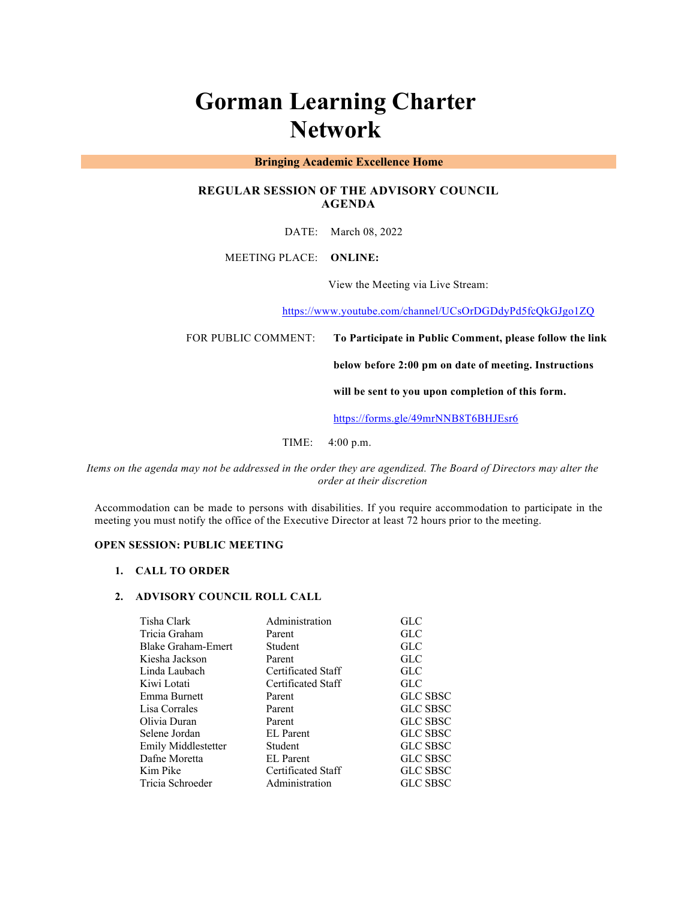# **Gorman Learning Charter Network**

# **Bringing Academic Excellence Home**

# **REGULAR SESSION OF THE ADVISORY COUNCIL AGENDA**

DATE: March 08, 2022

MEETING PLACE: **ONLINE:** 

View the Meeting via Live Stream:

https://www.youtube.com/channel/UCsOrDGDdyPd5fcQkGJgo1ZQ

FOR PUBLIC COMMENT: **To Participate in Public Comment, please follow the link** 

**below before 2:00 pm on date of meeting. Instructions** 

**will be sent to you upon completion of this form.**

https://forms.gle/49mrNNB8T6BHJEsr6

TIME: 4:00 p.m.

*Items on the agenda may not be addressed in the order they are agendized. The Board of Directors may alter the order at their discretion*

Accommodation can be made to persons with disabilities. If you require accommodation to participate in the meeting you must notify the office of the Executive Director at least 72 hours prior to the meeting.

# **OPEN SESSION: PUBLIC MEETING**

#### **1. CALL TO ORDER**

#### **2. ADVISORY COUNCIL ROLL CALL**

| Tisha Clark         | Administration     | <b>GLC</b>      |
|---------------------|--------------------|-----------------|
| Tricia Graham       | Parent             | <b>GLC</b>      |
| Blake Graham-Emert  | Student            | GLC             |
| Kiesha Jackson      | Parent             | GLC             |
| Linda Laubach       | Certificated Staff | <b>GLC</b>      |
| Kiwi Lotati         | Certificated Staff | <b>GLC</b>      |
| Emma Burnett        | Parent             | <b>GLC SBSC</b> |
| Lisa Corrales       | Parent             | <b>GLC SBSC</b> |
| Olivia Duran        | Parent             | <b>GLC SBSC</b> |
| Selene Jordan       | <b>EL</b> Parent   | <b>GLC SBSC</b> |
| Emily Middlestetter | Student            | <b>GLC SBSC</b> |
| Dafne Moretta       | <b>EL</b> Parent   | <b>GLC SBSC</b> |
| Kim Pike            | Certificated Staff | <b>GLC SBSC</b> |
| Tricia Schroeder    | Administration     | <b>GLC SBSC</b> |
|                     |                    |                 |